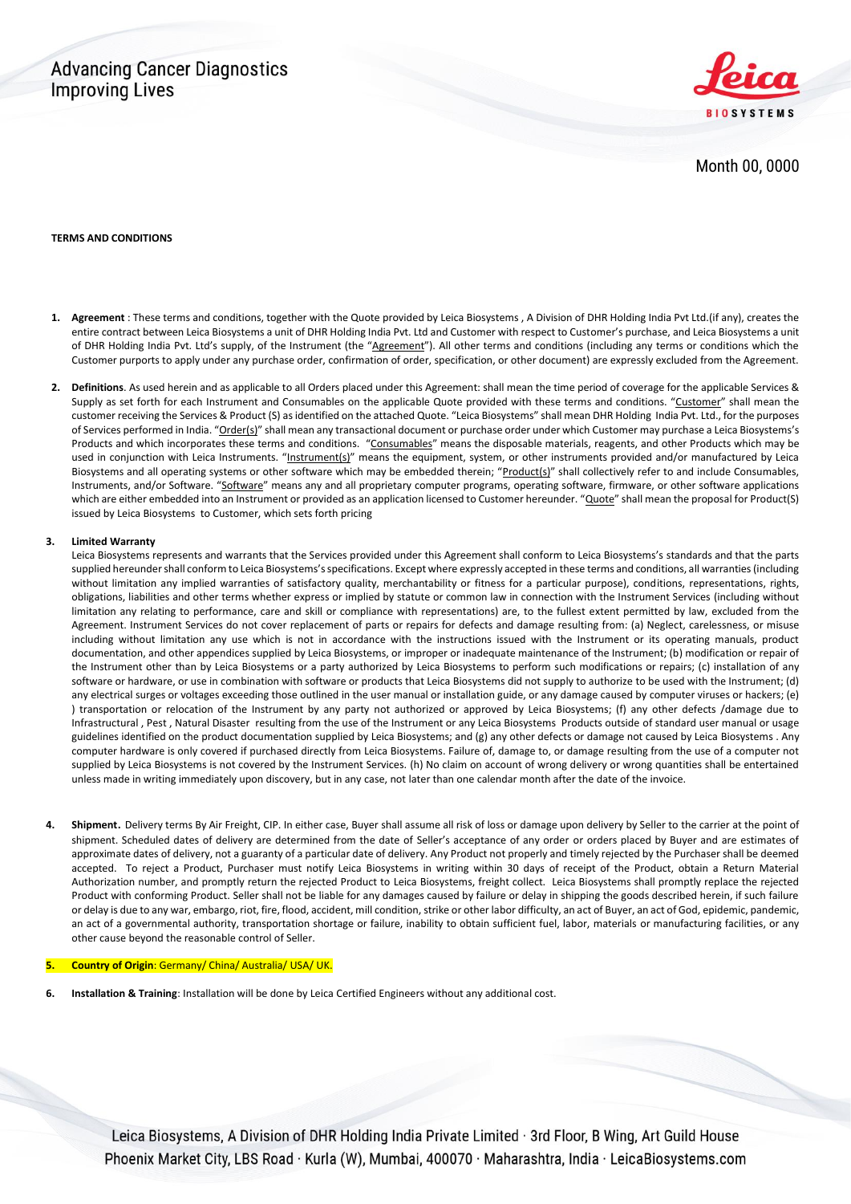## **Advancing Cancer Diagnostics Improving Lives**



Month 00, 0000

#### **TERMS AND CONDITIONS**

- **1. Agreement** : These terms and conditions, together with the Quote provided by Leica Biosystems , A Division of DHR Holding India Pvt Ltd.(if any), creates the entire contract between Leica Biosystems a unit of DHR Holding India Pvt. Ltd and Customer with respect to Customer's purchase, and Leica Biosystems a unit of DHR Holding India Pvt. Ltd's supply, of the Instrument (the "Agreement"). All other terms and conditions (including any terms or conditions which the Customer purports to apply under any purchase order, confirmation of order, specification, or other document) are expressly excluded from the Agreement.
- **2. Definitions**. As used herein and as applicable to all Orders placed under this Agreement: shall mean the time period of coverage for the applicable Services & Supply as set forth for each Instrument and Consumables on the applicable Quote provided with these terms and conditions. "Customer" shall mean the customer receiving the Services & Product (S) as identified on the attached Quote. "Leica Biosystems" shall mean DHR Holding India Pvt. Ltd., for the purposes of Services performed in India. "Order(s)" shall mean any transactional document or purchase order under which Customer may purchase a Leica Biosystems's Products and which incorporates these terms and conditions. "Consumables" means the disposable materials, reagents, and other Products which may be used in conjunction with Leica Instruments. "Instrument(s)" means the equipment, system, or other instruments provided and/or manufactured by Leica Biosystems and all operating systems or other software which may be embedded therein; "Product(s)" shall collectively refer to and include Consumables, Instruments, and/or Software. "Software" means any and all proprietary computer programs, operating software, firmware, or other software applications which are either embedded into an Instrument or provided as an application licensed to Customer hereunder. "Quote" shall mean the proposal for Product(S) issued by Leica Biosystems to Customer, which sets forth pricing

### **3. Limited Warranty**

Leica Biosystems represents and warrants that the Services provided under this Agreement shall conform to Leica Biosystems's standards and that the parts supplied hereunder shall conform to Leica Biosystems's specifications. Except where expressly accepted in these terms and conditions, all warranties (including without limitation any implied warranties of satisfactory quality, merchantability or fitness for a particular purpose), conditions, representations, rights, obligations, liabilities and other terms whether express or implied by statute or common law in connection with the Instrument Services (including without limitation any relating to performance, care and skill or compliance with representations) are, to the fullest extent permitted by law, excluded from the Agreement. Instrument Services do not cover replacement of parts or repairs for defects and damage resulting from: (a) Neglect, carelessness, or misuse including without limitation any use which is not in accordance with the instructions issued with the Instrument or its operating manuals, product documentation, and other appendices supplied by Leica Biosystems, or improper or inadequate maintenance of the Instrument; (b) modification or repair of the Instrument other than by Leica Biosystems or a party authorized by Leica Biosystems to perform such modifications or repairs; (c) installation of any software or hardware, or use in combination with software or products that Leica Biosystems did not supply to authorize to be used with the Instrument; (d) any electrical surges or voltages exceeding those outlined in the user manual or installation guide, or any damage caused by computer viruses or hackers; (e) ) transportation or relocation of the Instrument by any party not authorized or approved by Leica Biosystems; (f) any other defects /damage due to Infrastructural , Pest , Natural Disaster resulting from the use of the Instrument or any Leica Biosystems Products outside of standard user manual or usage guidelines identified on the product documentation supplied by Leica Biosystems; and (g) any other defects or damage not caused by Leica Biosystems . Any computer hardware is only covered if purchased directly from Leica Biosystems. Failure of, damage to, or damage resulting from the use of a computer not supplied by Leica Biosystems is not covered by the Instrument Services. (h) No claim on account of wrong delivery or wrong quantities shall be entertained unless made in writing immediately upon discovery, but in any case, not later than one calendar month after the date of the invoice.

**4. Shipment**. Delivery terms By Air Freight, CIP. In either case, Buyer shall assume all risk of loss or damage upon delivery by Seller to the carrier at the point of shipment. Scheduled dates of delivery are determined from the date of Seller's acceptance of any order or orders placed by Buyer and are estimates of approximate dates of delivery, not a guaranty of a particular date of delivery. Any Product not properly and timely rejected by the Purchaser shall be deemed accepted. To reject a Product, Purchaser must notify Leica Biosystems in writing within 30 days of receipt of the Product, obtain a Return Material Authorization number, and promptly return the rejected Product to Leica Biosystems, freight collect. Leica Biosystems shall promptly replace the rejected Product with conforming Product. Seller shall not be liable for any damages caused by failure or delay in shipping the goods described herein, if such failure or delay is due to any war, embargo, riot, fire, flood, accident, mill condition, strike or other labor difficulty, an act of Buyer, an act of God, epidemic, pandemic, an act of a governmental authority, transportation shortage or failure, inability to obtain sufficient fuel, labor, materials or manufacturing facilities, or any other cause beyond the reasonable control of Seller.

### **5. Country of Origin**: Germany/ China/ Australia/ USA/ UK.

**6. Installation & Training**: Installation will be done by Leica Certified Engineers without any additional cost.

Leica Biosystems, A Division of DHR Holding India Private Limited · 3rd Floor, B Wing, Art Guild House Phoenix Market City, LBS Road · Kurla (W), Mumbai, 400070 · Maharashtra, India · LeicaBiosystems.com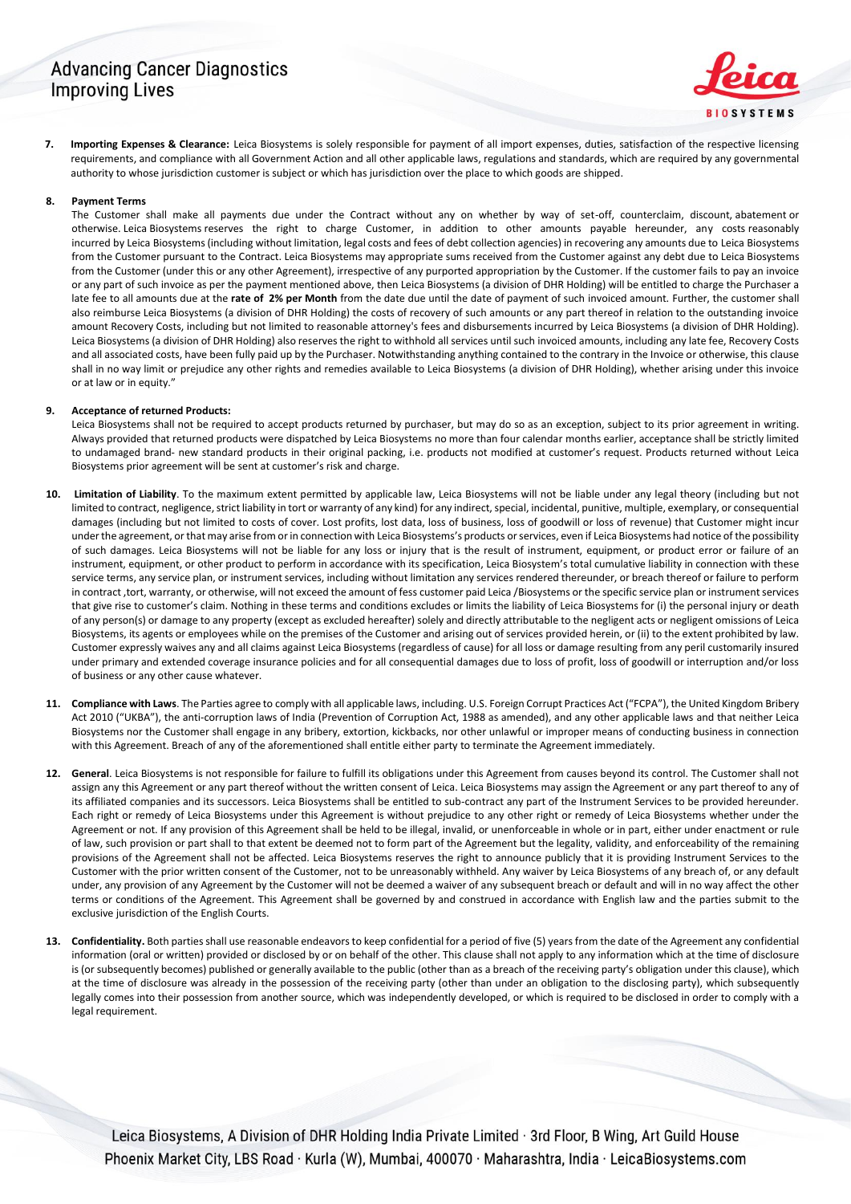## **Advancing Cancer Diagnostics Improving Lives**

**7. Importing Expenses & Clearance:** Leica Biosystems is solely responsible for payment of all import expenses, duties, satisfaction of the respective licensing requirements, and compliance with all Government Action and all other applicable laws, regulations and standards, which are required by any governmental authority to whose jurisdiction customer is subject or which has jurisdiction over the place to which goods are shipped.

### **8. Payment Terms**

The Customer shall make all payments due under the Contract without any on whether by way of set-off, counterclaim, discount, abatement or otherwise. Leica Biosystems reserves the right to charge Customer, in addition to other amounts payable hereunder, any costs reasonably incurred by Leica Biosystems (including without limitation, legal costs and fees of debt collection agencies) in recovering any amounts due to Leica Biosystems from the Customer pursuant to the Contract. Leica Biosystems may appropriate sums received from the Customer against any debt due to Leica Biosystems from the Customer (under this or any other Agreement), irrespective of any purported appropriation by the Customer. If the customer fails to pay an invoice or any part of such invoice as per the payment mentioned above, then Leica Biosystems (a division of DHR Holding) will be entitled to charge the Purchaser a late fee to all amounts due at the **rate of 2% per Month** from the date due until the date of payment of such invoiced amount. Further, the customer shall also reimburse Leica Biosystems (a division of DHR Holding) the costs of recovery of such amounts or any part thereof in relation to the outstanding invoice amount Recovery Costs, including but not limited to reasonable attorney's fees and disbursements incurred by Leica Biosystems (a division of DHR Holding). Leica Biosystems (a division of DHR Holding) also reserves the right to withhold all services until such invoiced amounts, including any late fee, Recovery Costs and all associated costs, have been fully paid up by the Purchaser. Notwithstanding anything contained to the contrary in the Invoice or otherwise, this clause shall in no way limit or prejudice any other rights and remedies available to Leica Biosystems (a division of DHR Holding), whether arising under this invoice or at law or in equity."

### **9. Acceptance of returned Products:**

Leica Biosystems shall not be required to accept products returned by purchaser, but may do so as an exception, subject to its prior agreement in writing. Always provided that returned products were dispatched by Leica Biosystems no more than four calendar months earlier, acceptance shall be strictly limited to undamaged brand- new standard products in their original packing, i.e. products not modified at customer's request. Products returned without Leica Biosystems prior agreement will be sent at customer's risk and charge.

- **10. Limitation of Liability**. To the maximum extent permitted by applicable law, Leica Biosystems will not be liable under any legal theory (including but not limited to contract, negligence, strict liability in tort or warranty of any kind) for any indirect, special, incidental, punitive, multiple, exemplary, or consequential damages (including but not limited to costs of cover. Lost profits, lost data, loss of business, loss of goodwill or loss of revenue) that Customer might incur under the agreement, or that may arise from or in connection with Leica Biosystems's products or services, even if Leica Biosystems had notice of the possibility of such damages. Leica Biosystems will not be liable for any loss or injury that is the result of instrument, equipment, or product error or failure of an instrument, equipment, or other product to perform in accordance with its specification, Leica Biosystem's total cumulative liability in connection with these service terms, any service plan, or instrument services, including without limitation any services rendered thereunder, or breach thereof or failure to perform in contract ,tort, warranty, or otherwise, will not exceed the amount of fess customer paid Leica /Biosystems or the specific service plan or instrument services that give rise to customer's claim. Nothing in these terms and conditions excludes or limits the liability of Leica Biosystems for (i) the personal injury or death of any person(s) or damage to any property (except as excluded hereafter) solely and directly attributable to the negligent acts or negligent omissions of Leica Biosystems, its agents or employees while on the premises of the Customer and arising out of services provided herein, or (ii) to the extent prohibited by law. Customer expressly waives any and all claims against Leica Biosystems (regardless of cause) for all loss or damage resulting from any peril customarily insured under primary and extended coverage insurance policies and for all consequential damages due to loss of profit, loss of goodwill or interruption and/or loss of business or any other cause whatever.
- **11. Compliance with Laws**. The Parties agree to comply with all applicable laws, including. U.S. Foreign Corrupt Practices Act ("FCPA"), the United Kingdom Bribery Act 2010 ("UKBA"), the anti-corruption laws of India (Prevention of Corruption Act, 1988 as amended), and any other applicable laws and that neither Leica Biosystems nor the Customer shall engage in any bribery, extortion, kickbacks, nor other unlawful or improper means of conducting business in connection with this Agreement. Breach of any of the aforementioned shall entitle either party to terminate the Agreement immediately.
- **12. General**. Leica Biosystems is not responsible for failure to fulfill its obligations under this Agreement from causes beyond its control. The Customer shall not assign any this Agreement or any part thereof without the written consent of Leica. Leica Biosystems may assign the Agreement or any part thereof to any of its affiliated companies and its successors. Leica Biosystems shall be entitled to sub-contract any part of the Instrument Services to be provided hereunder. Each right or remedy of Leica Biosystems under this Agreement is without prejudice to any other right or remedy of Leica Biosystems whether under the Agreement or not. If any provision of this Agreement shall be held to be illegal, invalid, or unenforceable in whole or in part, either under enactment or rule of law, such provision or part shall to that extent be deemed not to form part of the Agreement but the legality, validity, and enforceability of the remaining provisions of the Agreement shall not be affected. Leica Biosystems reserves the right to announce publicly that it is providing Instrument Services to the Customer with the prior written consent of the Customer, not to be unreasonably withheld. Any waiver by Leica Biosystems of any breach of, or any default under, any provision of any Agreement by the Customer will not be deemed a waiver of any subsequent breach or default and will in no way affect the other terms or conditions of the Agreement. This Agreement shall be governed by and construed in accordance with English law and the parties submit to the exclusive jurisdiction of the English Courts.
- **13. Confidentiality.** Both parties shall use reasonable endeavors to keep confidential for a period of five (5) years from the date of the Agreement any confidential information (oral or written) provided or disclosed by or on behalf of the other. This clause shall not apply to any information which at the time of disclosure is (or subsequently becomes) published or generally available to the public (other than as a breach of the receiving party's obligation under this clause), which at the time of disclosure was already in the possession of the receiving party (other than under an obligation to the disclosing party), which subsequently legally comes into their possession from another source, which was independently developed, or which is required to be disclosed in order to comply with a legal requirement.

Leica Biosystems, A Division of DHR Holding India Private Limited · 3rd Floor, B Wing, Art Guild House Phoenix Market City, LBS Road · Kurla (W), Mumbai, 400070 · Maharashtra, India · LeicaBiosystems.com